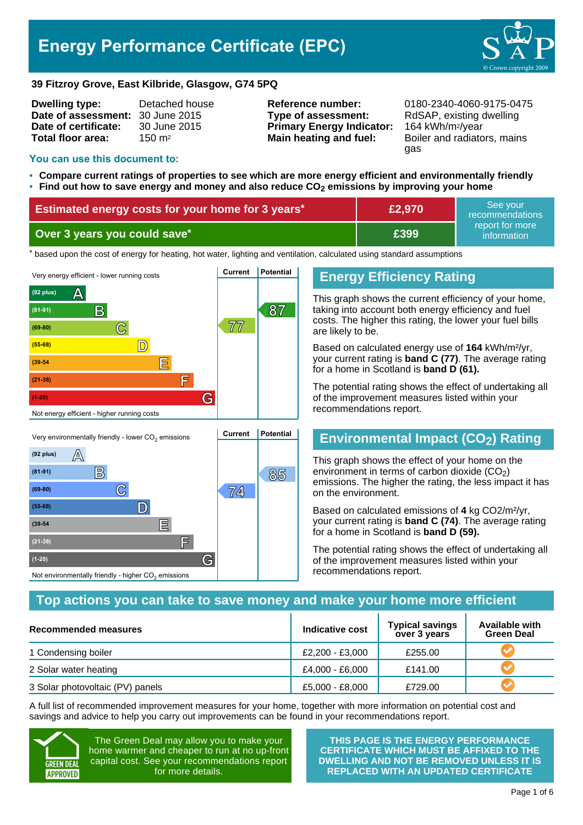# **Energy Performance Certificate (EPC)**



#### **39 Fitzroy Grove, East Kilbride, Glasgow, G74 5PQ**

| <b>Dwelling type:</b>            | Detached house    |
|----------------------------------|-------------------|
| Date of assessment: 30 June 2015 |                   |
| Date of certificate:             | 30 June 2015      |
| Total floor area:                | $150 \text{ m}^2$ |
|                                  |                   |

**Type of assessment:** RdSAP, existing dwelling **Primary Energy Indicator:** 164 kWh/m2/year **Main heating and fuel:** Boiler and radiators, mains

**Reference number:** 0180-2340-4060-9175-0475 gas

#### **You can use this document to:**

- **Compare current ratings of properties to see which are more energy efficient and environmentally friendly**
- **Find out how to save energy and money and also reduce CO2 emissions by improving your home**

| <b>Estimated energy costs for your home for 3 years*</b> | £2,970 | See vour<br>recommendations    |
|----------------------------------------------------------|--------|--------------------------------|
| Over 3 years you could save*                             | E399.  | report for more<br>information |

thased upon the cost of energy for heating, hot water, lighting and ventilation, calculated using standard assumptions



## Very environmentally friendly - lower CO<sub>2</sub> emissions **Current Potential**  $(92 \text{ plus})$   $\mathbb{A}$ **B 85 85 C 74 (69-80) (55-68) D (39-54 E (21-38) F (1-20) G** Not environmentally friendly - higher  $\mathrm{CO}_2$  emissions

### **Energy Efficiency Rating**

This graph shows the current efficiency of your home, taking into account both energy efficiency and fuel costs. The higher this rating, the lower your fuel bills are likely to be.

Based on calculated energy use of **164** kWh/m²/yr, your current rating is **band C (77)**. The average rating for a home in Scotland is **band D (61).**

The potential rating shows the effect of undertaking all of the improvement measures listed within your recommendations report.

### **Environmental Impact (CO2) Rating**

This graph shows the effect of your home on the environment in terms of carbon dioxide  $(CO<sub>2</sub>)$ emissions. The higher the rating, the less impact it has on the environment.

Based on calculated emissions of **4** kg CO2/m²/yr, your current rating is **band C (74)**. The average rating for a home in Scotland is **band D (59).**

The potential rating shows the effect of undertaking all of the improvement measures listed within your recommendations report.

### **Top actions you can take to save money and make your home more efficient**

| Recommended measures             | Indicative cost | <b>Typical savings</b><br>over 3 years | <b>Available with</b><br><b>Green Deal</b> |
|----------------------------------|-----------------|----------------------------------------|--------------------------------------------|
| 1 Condensing boiler              | £2,200 - £3,000 | £255.00                                |                                            |
| 2 Solar water heating            | £4,000 - £6,000 | £141.00                                |                                            |
| 3 Solar photovoltaic (PV) panels | £5,000 - £8,000 | £729.00                                |                                            |

A full list of recommended improvement measures for your home, together with more information on potential cost and savings and advice to help you carry out improvements can be found in your recommendations report.



The Green Deal may allow you to make your home warmer and cheaper to run at no up-front capital cost. See your recommendations report for more details.

**THIS PAGE IS THE ENERGY PERFORMANCE CERTIFICATE WHICH MUST BE AFFIXED TO THE DWELLING AND NOT BE REMOVED UNLESS IT IS REPLACED WITH AN UPDATED CERTIFICATE**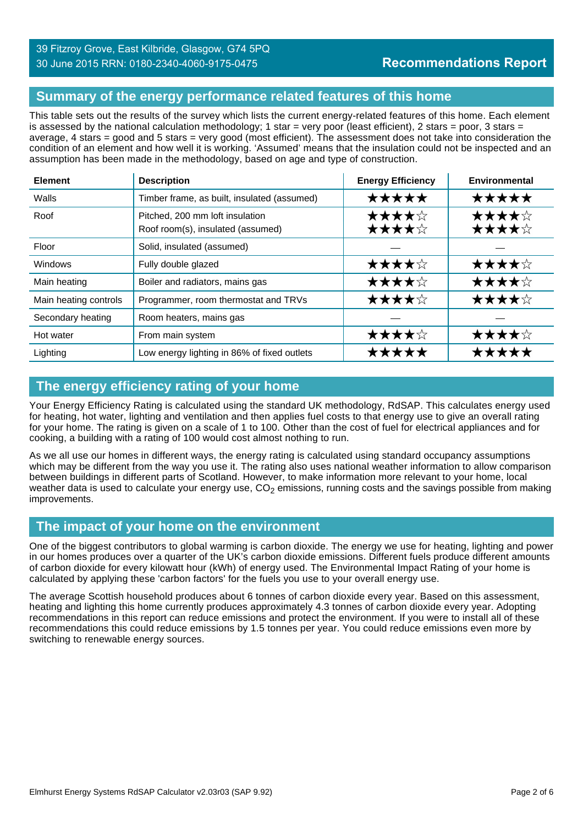### **Summary of the energy performance related features of this home**

This table sets out the results of the survey which lists the current energy-related features of this home. Each element is assessed by the national calculation methodology; 1 star = very poor (least efficient), 2 stars = poor, 3 stars = average, 4 stars = good and 5 stars = very good (most efficient). The assessment does not take into consideration the condition of an element and how well it is working. 'Assumed' means that the insulation could not be inspected and an assumption has been made in the methodology, based on age and type of construction.

| <b>Element</b>        | <b>Description</b>                                                   | <b>Energy Efficiency</b> | Environmental  |
|-----------------------|----------------------------------------------------------------------|--------------------------|----------------|
| Walls                 | Timber frame, as built, insulated (assumed)                          | *****                    | ★★★★★          |
| Roof                  | Pitched, 200 mm loft insulation<br>Roof room(s), insulated (assumed) | ★★★★☆<br>★★★★☆           | ★★★★☆<br>★★★★☆ |
| Floor                 | Solid, insulated (assumed)                                           |                          |                |
| <b>Windows</b>        | Fully double glazed                                                  | ★★★★☆                    | ★★★★☆          |
| Main heating          | Boiler and radiators, mains gas                                      | ★★★★☆                    | ★★★★☆          |
| Main heating controls | Programmer, room thermostat and TRVs                                 | ★★★★☆                    | ★★★★☆          |
| Secondary heating     | Room heaters, mains gas                                              |                          |                |
| Hot water             | From main system                                                     | ★★★★☆                    | ★★★★☆          |
| Lighting              | Low energy lighting in 86% of fixed outlets                          | *****                    | *****          |

### **The energy efficiency rating of your home**

Your Energy Efficiency Rating is calculated using the standard UK methodology, RdSAP. This calculates energy used for heating, hot water, lighting and ventilation and then applies fuel costs to that energy use to give an overall rating for your home. The rating is given on a scale of 1 to 100. Other than the cost of fuel for electrical appliances and for cooking, a building with a rating of 100 would cost almost nothing to run.

As we all use our homes in different ways, the energy rating is calculated using standard occupancy assumptions which may be different from the way you use it. The rating also uses national weather information to allow comparison between buildings in different parts of Scotland. However, to make information more relevant to your home, local weather data is used to calculate your energy use,  $CO<sub>2</sub>$  emissions, running costs and the savings possible from making improvements.

### **The impact of your home on the environment**

One of the biggest contributors to global warming is carbon dioxide. The energy we use for heating, lighting and power in our homes produces over a quarter of the UK's carbon dioxide emissions. Different fuels produce different amounts of carbon dioxide for every kilowatt hour (kWh) of energy used. The Environmental Impact Rating of your home is calculated by applying these 'carbon factors' for the fuels you use to your overall energy use.

The average Scottish household produces about 6 tonnes of carbon dioxide every year. Based on this assessment, heating and lighting this home currently produces approximately 4.3 tonnes of carbon dioxide every year. Adopting recommendations in this report can reduce emissions and protect the environment. If you were to install all of these recommendations this could reduce emissions by 1.5 tonnes per year. You could reduce emissions even more by switching to renewable energy sources.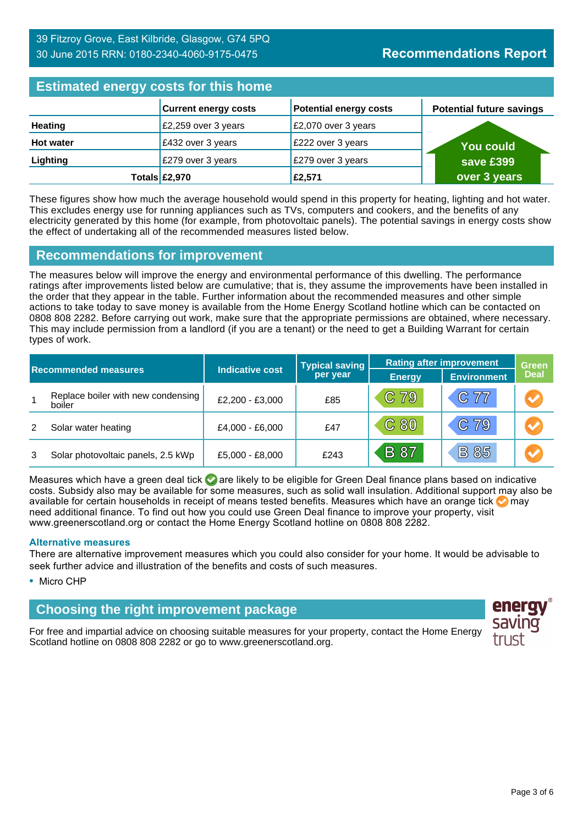### **Estimated energy costs for this home**

| Editional and all and the time name |                             |                               |                                 |  |  |
|-------------------------------------|-----------------------------|-------------------------------|---------------------------------|--|--|
|                                     | <b>Current energy costs</b> | <b>Potential energy costs</b> | <b>Potential future savings</b> |  |  |
| <b>Heating</b>                      | £2,259 over 3 years         | £2,070 over 3 years           |                                 |  |  |
| <b>Hot water</b>                    | £432 over 3 years           | £222 over 3 years             | <b>You could</b>                |  |  |
| Lighting                            | £279 over 3 years           | £279 over 3 years             | save £399                       |  |  |
|                                     | Totals £2,970               | £2,571                        | over 3 years                    |  |  |

These figures show how much the average household would spend in this property for heating, lighting and hot water. This excludes energy use for running appliances such as TVs, computers and cookers, and the benefits of any electricity generated by this home (for example, from photovoltaic panels). The potential savings in energy costs show the effect of undertaking all of the recommended measures listed below.

### **Recommendations for improvement**

The measures below will improve the energy and environmental performance of this dwelling. The performance ratings after improvements listed below are cumulative; that is, they assume the improvements have been installed in the order that they appear in the table. Further information about the recommended measures and other simple actions to take today to save money is available from the Home Energy Scotland hotline which can be contacted on 0808 808 2282. Before carrying out work, make sure that the appropriate permissions are obtained, where necessary. This may include permission from a landlord (if you are a tenant) or the need to get a Building Warrant for certain types of work.

| <b>Indicative cost</b><br><b>Recommended measures</b> |                                              |                 | <b>Typical saving</b><br>per year | <b>Rating after improvement</b> |                    | <b>Green</b>         |
|-------------------------------------------------------|----------------------------------------------|-----------------|-----------------------------------|---------------------------------|--------------------|----------------------|
|                                                       |                                              |                 |                                   | <b>Energy</b>                   | <b>Environment</b> | <b>Deal</b>          |
| $\overline{1}$                                        | Replace boiler with new condensing<br>boiler | £2,200 - £3,000 | £85                               | C 79                            | C 77               | $\bigcirc$           |
| 2                                                     | Solar water heating                          | £4,000 - £6,000 | £47                               | C80                             | C 79               | $\bigcirc$           |
| 3                                                     | Solar photovoltaic panels, 2.5 kWp           | £5,000 - £8,000 | £243                              | <b>B</b> 87                     | <b>B85</b>         | $\blacktriangledown$ |

Measures which have a green deal tick  $\bullet$  are likely to be eligible for Green Deal finance plans based on indicative costs. Subsidy also may be available for some measures, such as solid wall insulation. Additional support may also be available for certain households in receipt of means tested benefits. Measures which have an orange tick **on** may need additional finance. To find out how you could use Green Deal finance to improve your property, visit www.greenerscotland.org or contact the Home Energy Scotland hotline on 0808 808 2282.

#### **Alternative measures**

There are alternative improvement measures which you could also consider for your home. It would be advisable to seek further advice and illustration of the benefits and costs of such measures.

• Micro CHP

### **Choosing the right improvement package**

For free and impartial advice on choosing suitable measures for your property, contact the Home Energy Scotland hotline on 0808 808 2282 or go to www.greenerscotland.org.

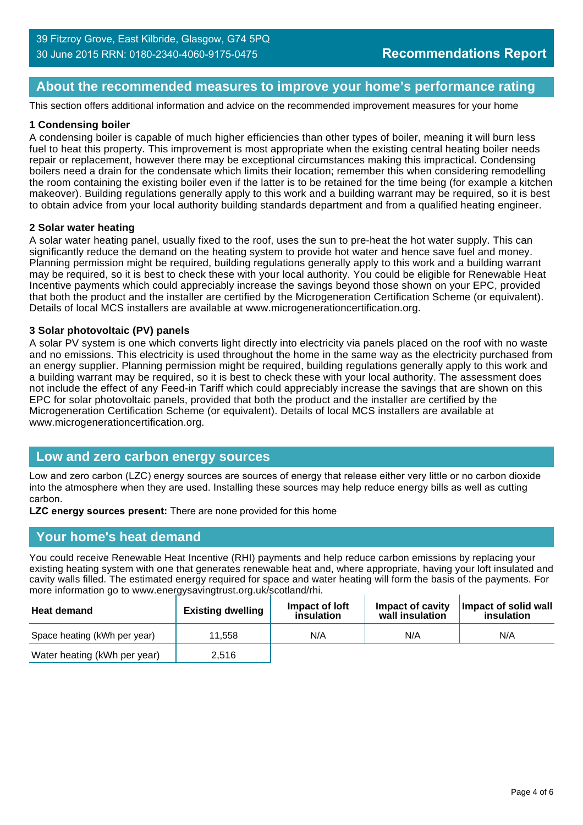### **About the recommended measures to improve your home's performance rating**

This section offers additional information and advice on the recommended improvement measures for your home

#### **1 Condensing boiler**

A condensing boiler is capable of much higher efficiencies than other types of boiler, meaning it will burn less fuel to heat this property. This improvement is most appropriate when the existing central heating boiler needs repair or replacement, however there may be exceptional circumstances making this impractical. Condensing boilers need a drain for the condensate which limits their location; remember this when considering remodelling the room containing the existing boiler even if the latter is to be retained for the time being (for example a kitchen makeover). Building regulations generally apply to this work and a building warrant may be required, so it is best to obtain advice from your local authority building standards department and from a qualified heating engineer.

#### **2 Solar water heating**

A solar water heating panel, usually fixed to the roof, uses the sun to pre-heat the hot water supply. This can significantly reduce the demand on the heating system to provide hot water and hence save fuel and money. Planning permission might be required, building regulations generally apply to this work and a building warrant may be required, so it is best to check these with your local authority. You could be eligible for Renewable Heat Incentive payments which could appreciably increase the savings beyond those shown on your EPC, provided that both the product and the installer are certified by the Microgeneration Certification Scheme (or equivalent). Details of local MCS installers are available at www.microgenerationcertification.org.

#### **3 Solar photovoltaic (PV) panels**

A solar PV system is one which converts light directly into electricity via panels placed on the roof with no waste and no emissions. This electricity is used throughout the home in the same way as the electricity purchased from an energy supplier. Planning permission might be required, building regulations generally apply to this work and a building warrant may be required, so it is best to check these with your local authority. The assessment does not include the effect of any Feed-in Tariff which could appreciably increase the savings that are shown on this EPC for solar photovoltaic panels, provided that both the product and the installer are certified by the Microgeneration Certification Scheme (or equivalent). Details of local MCS installers are available at www.microgenerationcertification.org.

### **Low and zero carbon energy sources**

Low and zero carbon (LZC) energy sources are sources of energy that release either very little or no carbon dioxide into the atmosphere when they are used. Installing these sources may help reduce energy bills as well as cutting carbon.

**LZC energy sources present:** There are none provided for this home

#### **Your home's heat demand**

You could receive Renewable Heat Incentive (RHI) payments and help reduce carbon emissions by replacing your existing heating system with one that generates renewable heat and, where appropriate, having your loft insulated and cavity walls filled. The estimated energy required for space and water heating will form the basis of the payments. For more information go to www.energysavingtrust.org.uk/scotland/rhi.

| <b>Heat demand</b>           | <b>Existing dwelling</b> | Impact of loft<br>insulation | Impact of cavity<br>wall insulation | Impact of solid wall<br>insulation |
|------------------------------|--------------------------|------------------------------|-------------------------------------|------------------------------------|
| Space heating (kWh per year) | 11.558                   | N/A                          | N/A                                 | N/A                                |
| Water heating (kWh per year) | 2,516                    |                              |                                     |                                    |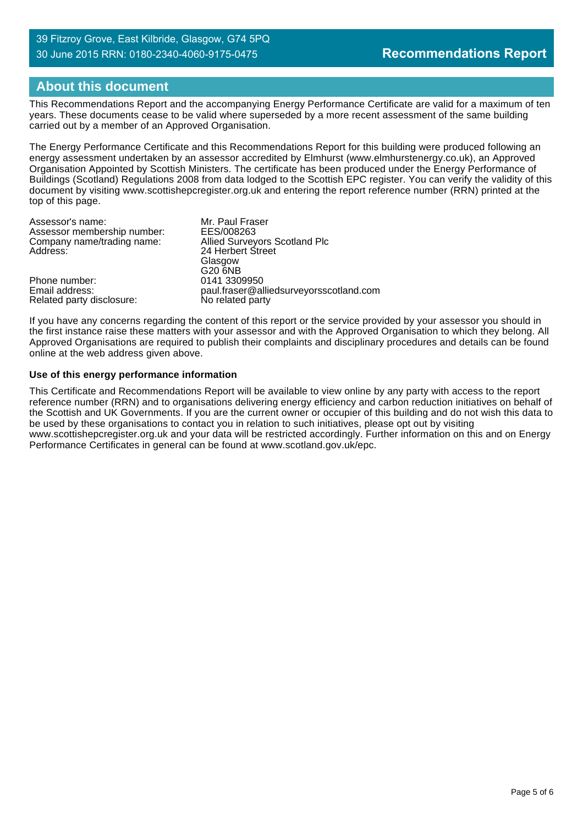### **About this document**

This Recommendations Report and the accompanying Energy Performance Certificate are valid for a maximum of ten years. These documents cease to be valid where superseded by a more recent assessment of the same building carried out by a member of an Approved Organisation.

The Energy Performance Certificate and this Recommendations Report for this building were produced following an energy assessment undertaken by an assessor accredited by Elmhurst (www.elmhurstenergy.co.uk), an Approved Organisation Appointed by Scottish Ministers. The certificate has been produced under the Energy Performance of Buildings (Scotland) Regulations 2008 from data lodged to the Scottish EPC register. You can verify the validity of this document by visiting www.scottishepcregister.org.uk and entering the report reference number (RRN) printed at the top of this page.

| Assessor's name:            | Mr. Paul Fraser                         |
|-----------------------------|-----------------------------------------|
| Assessor membership number: | EES/008263                              |
| Company name/trading name:  | <b>Allied Surveyors Scotland Plc</b>    |
| Address:                    | 24 Herbert Street                       |
|                             | Glasgow                                 |
|                             | G20 6NB                                 |
| Phone number:               | 0141 3309950                            |
| Email address:              | paul.fraser@alliedsurveyorsscotland.com |
| Related party disclosure:   | No related party                        |

If you have any concerns regarding the content of this report or the service provided by your assessor you should in the first instance raise these matters with your assessor and with the Approved Organisation to which they belong. All Approved Organisations are required to publish their complaints and disciplinary procedures and details can be found online at the web address given above.

#### **Use of this energy performance information**

This Certificate and Recommendations Report will be available to view online by any party with access to the report reference number (RRN) and to organisations delivering energy efficiency and carbon reduction initiatives on behalf of the Scottish and UK Governments. If you are the current owner or occupier of this building and do not wish this data to be used by these organisations to contact you in relation to such initiatives, please opt out by visiting www.scottishepcregister.org.uk and your data will be restricted accordingly. Further information on this and on Energy Performance Certificates in general can be found at www.scotland.gov.uk/epc.